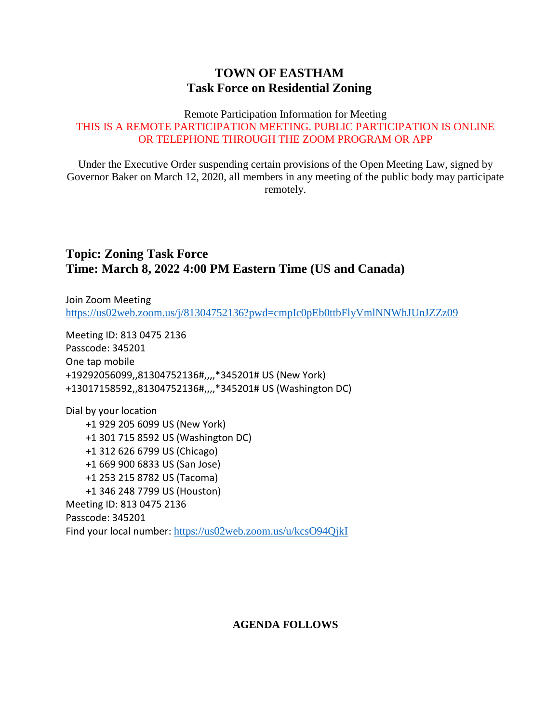## **TOWN OF EASTHAM Task Force on Residential Zoning**

#### Remote Participation Information for Meeting THIS IS A REMOTE PARTICIPATION MEETING. PUBLIC PARTICIPATION IS ONLINE OR TELEPHONE THROUGH THE ZOOM PROGRAM OR APP

Under the Executive Order suspending certain provisions of the Open Meeting Law, signed by Governor Baker on March 12, 2020, all members in any meeting of the public body may participate remotely.

## **Topic: Zoning Task Force Time: March 8, 2022 4:00 PM Eastern Time (US and Canada)**

Join Zoom Meeting <https://us02web.zoom.us/j/81304752136?pwd=cmpIc0pEb0ttbFlyVmlNNWhJUnJZZz09>

Meeting ID: 813 0475 2136 Passcode: 345201 One tap mobile +19292056099,,81304752136#,,,,\*345201# US (New York) +13017158592,,81304752136#,,,,\*345201# US (Washington DC)

Dial by your location +1 929 205 6099 US (New York) +1 301 715 8592 US (Washington DC) +1 312 626 6799 US (Chicago) +1 669 900 6833 US (San Jose) +1 253 215 8782 US (Tacoma) +1 346 248 7799 US (Houston) Meeting ID: 813 0475 2136 Passcode: 345201 Find your local number: <https://us02web.zoom.us/u/kcsO94QjkI>

### **AGENDA FOLLOWS**